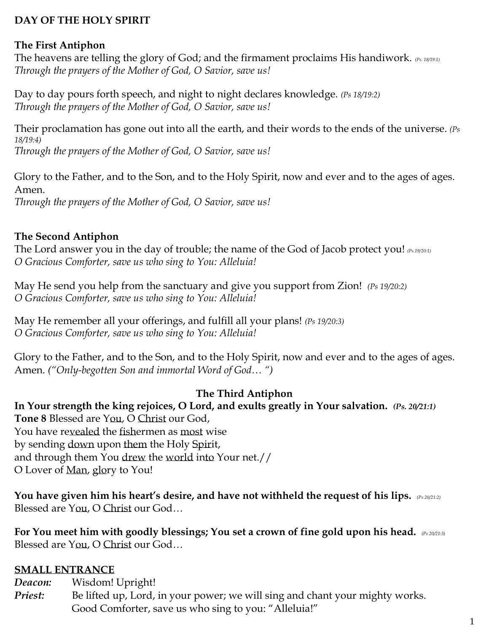# **DAY OF THE HOLY SPIRIT**

#### **The First Antiphon**

The heavens are telling the glory of God; and the firmament proclaims His handiwork. *(Ps. 18/19:1) Through the prayers of the Mother of God, O Savior, save us!*

Day to day pours forth speech, and night to night declares knowledge. *(Ps 18/19:2) Through the prayers of the Mother of God, O Savior, save us!*

Their proclamation has gone out into all the earth, and their words to the ends of the universe. *(Ps 18/19:4) Through the prayers of the Mother of God, O Savior, save us!*

Glory to the Father, and to the Son, and to the Holy Spirit, now and ever and to the ages of ages. Amen.

*Through the prayers of the Mother of God, O Savior, save us!*

# **The Second Antiphon**

The Lord answer you in the day of trouble; the name of the God of Jacob protect you! *(Ps.19/20:1) O Gracious Comforter, save us who sing to You: Alleluia!*

May He send you help from the sanctuary and give you support from Zion! *(Ps 19/20:2) O Gracious Comforter, save us who sing to You: Alleluia!*

May He remember all your offerings, and fulfill all your plans! *(Ps 19/20:3) O Gracious Comforter, save us who sing to You: Alleluia!*

Glory to the Father, and to the Son, and to the Holy Spirit, now and ever and to the ages of ages. Amen. *("Only-begotten Son and immortal Word of God… ")*

#### **The Third Antiphon**

**In Your strength the king rejoices, O Lord, and exults greatly in Your salvation.** *(Ps. 20/21:1)*  **Tone 8** Blessed are You, O Christ our God, You have revealed the fishermen as most wise by sending down upon them the Holy Spirit, and through them You drew the world into Your net.// O Lover of Man, glory to You!

**You have given him his heart's desire, and have not withheld the request of his lips.** *(Ps 20/21:2)* Blessed are You, O Christ our God…

**For You meet him with goodly blessings; You set a crown of fine gold upon his head.** *(Ps 20/21:3)* Blessed are You, O Christ our God…

# **SMALL ENTRANCE**

*Deacon:* Wisdom! Upright!

*Priest:* Be lifted up, Lord, in your power; we will sing and chant your mighty works. Good Comforter, save us who sing to you: "Alleluia!"